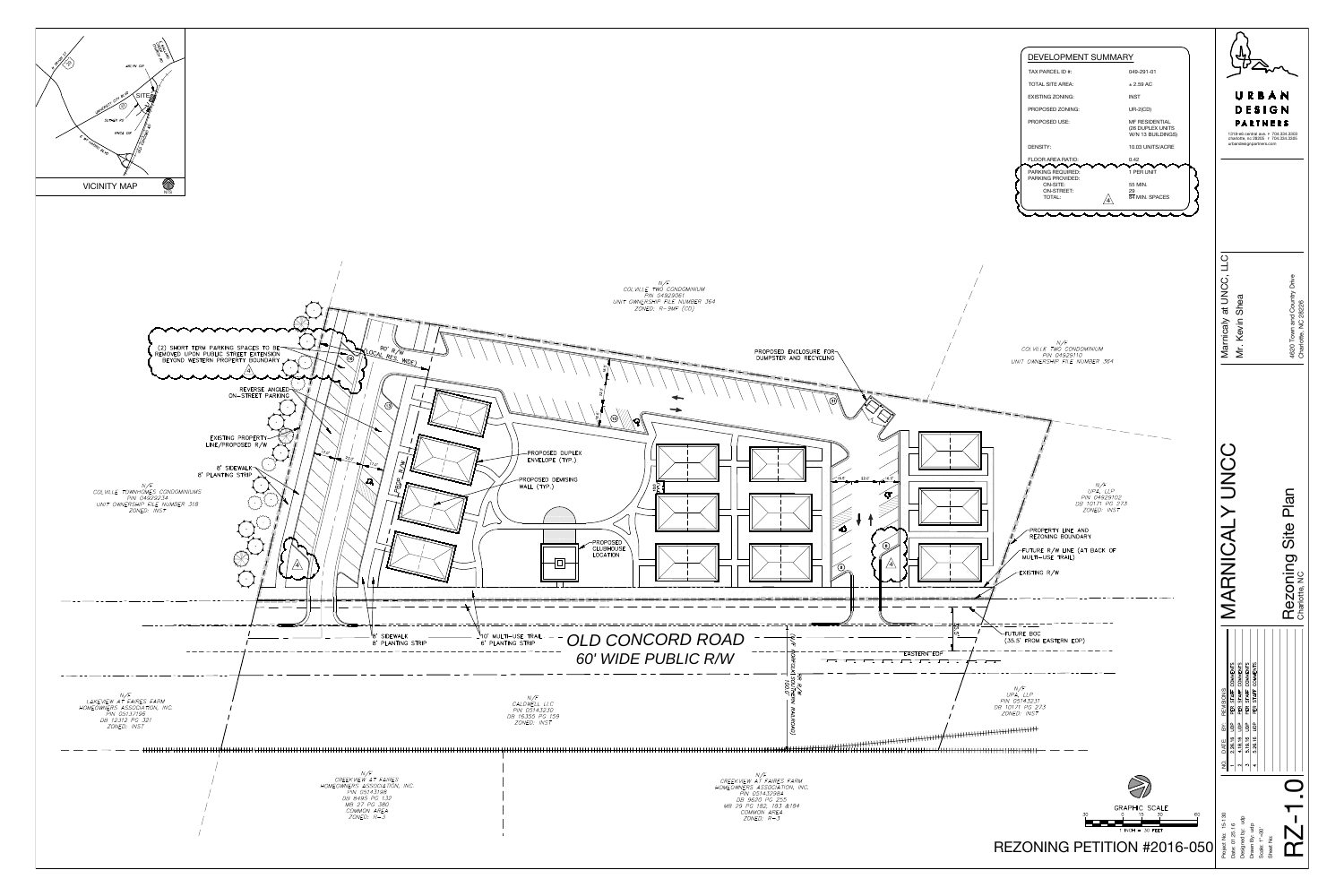